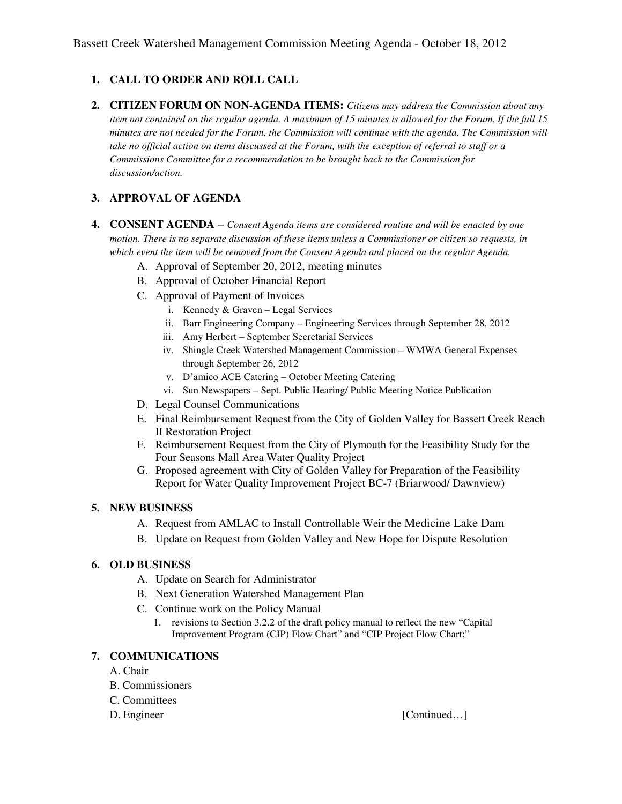## **1. CALL TO ORDER AND ROLL CALL**

**2. CITIZEN FORUM ON NON-AGENDA ITEMS:** *Citizens may address the Commission about any item not contained on the regular agenda. A maximum of 15 minutes is allowed for the Forum. If the full 15 minutes are not needed for the Forum, the Commission will continue with the agenda. The Commission will take no official action on items discussed at the Forum, with the exception of referral to staff or a Commissions Committee for a recommendation to be brought back to the Commission for discussion/action.* 

## **3. APPROVAL OF AGENDA**

- **4. CONSENT AGENDA** *Consent Agenda items are considered routine and will be enacted by one motion. There is no separate discussion of these items unless a Commissioner or citizen so requests, in which event the item will be removed from the Consent Agenda and placed on the regular Agenda.* 
	- A. Approval of September 20, 2012, meeting minutes
	- B. Approval of October Financial Report
	- C. Approval of Payment of Invoices
		- i. Kennedy & Graven Legal Services
		- ii. Barr Engineering Company Engineering Services through September 28, 2012
		- iii. Amy Herbert September Secretarial Services
		- iv. Shingle Creek Watershed Management Commission WMWA General Expenses through September 26, 2012
		- v. D'amico ACE Catering October Meeting Catering
		- vi. Sun Newspapers Sept. Public Hearing/ Public Meeting Notice Publication
	- D. Legal Counsel Communications
	- E. Final Reimbursement Request from the City of Golden Valley for Bassett Creek Reach II Restoration Project
	- F. Reimbursement Request from the City of Plymouth for the Feasibility Study for the Four Seasons Mall Area Water Quality Project
	- G. Proposed agreement with City of Golden Valley for Preparation of the Feasibility Report for Water Quality Improvement Project BC-7 (Briarwood/ Dawnview)

### **5. NEW BUSINESS**

- A. Request from AMLAC to Install Controllable Weir the Medicine Lake Dam
- B. Update on Request from Golden Valley and New Hope for Dispute Resolution

### **6. OLD BUSINESS**

- A. Update on Search for Administrator
- B. Next Generation Watershed Management Plan
- C. Continue work on the Policy Manual
	- 1. revisions to Section 3.2.2 of the draft policy manual to reflect the new "Capital Improvement Program (CIP) Flow Chart" and "CIP Project Flow Chart;"

### **7. COMMUNICATIONS**

- A. Chair
- B. Commissioners
- C. Committees
- 

D. Engineer [Continued...]